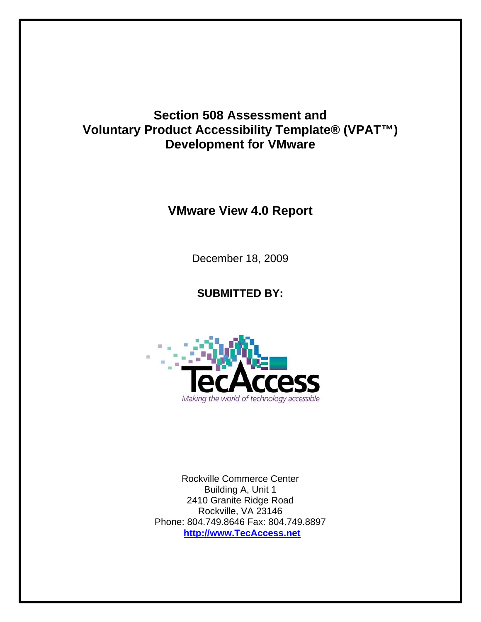## **Section 508 Assessment and Voluntary Product Accessibility Template® (VPAT™) Development for VMware**

## **VMware View 4.0 Report**

December 18, 2009

## **SUBMITTED BY:**



Rockville Commerce Center Building A, Unit 1 2410 Granite Ridge Road Rockville, VA 23146 Phone: 804.749.8646 Fax: 804.749.8897 **[http://www.TecAccess.net](http://www.tecaccess.net/)**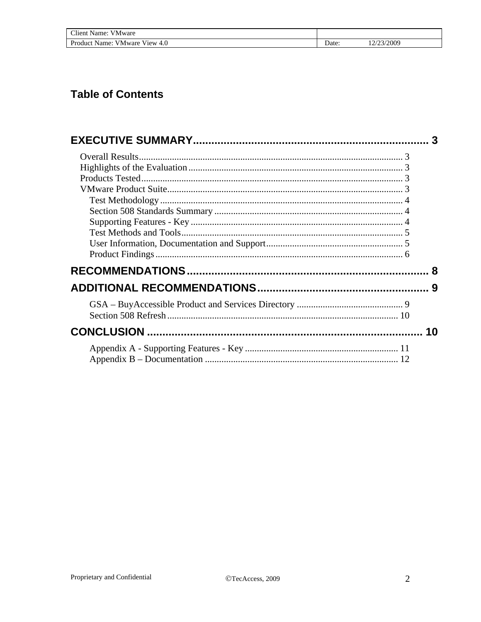| Client Name:<br>V Mware                    |       |            |
|--------------------------------------------|-------|------------|
| <b>VMware View</b><br>Product Name:<br>4.0 | Date: | 12/23/2009 |

# **Table of Contents**

|  | 3  |
|--|----|
|  |    |
|  |    |
|  |    |
|  |    |
|  |    |
|  |    |
|  |    |
|  |    |
|  |    |
|  |    |
|  | 8  |
|  |    |
|  |    |
|  |    |
|  | 10 |
|  |    |
|  |    |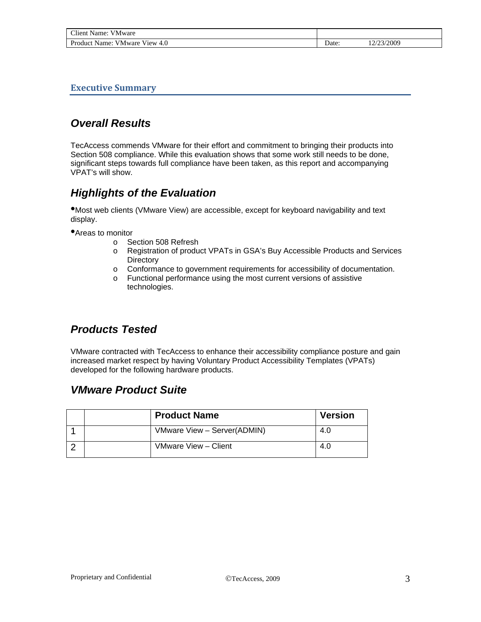<span id="page-2-0"></span>

| $\cap$ lient.<br>.<br>√ Mware<br>Name<br>.                     |                |            |  |
|----------------------------------------------------------------|----------------|------------|--|
| Product.<br>Name:<br><b>V</b> <sub>1</sub> ew<br>∨Mware<br>4.0 | $\Delta$ Date: | 14/23/2009 |  |

**Executive Summary**

## *Overall Results*

TecAccess commends VMware for their effort and commitment to bringing their products into Section 508 compliance. While this evaluation shows that some work still needs to be done, significant steps towards full compliance have been taken, as this report and accompanying VPAT's will show.

## *Highlights of the Evaluation*

•Most web clients (VMware View) are accessible, except for keyboard navigability and text display.

•Areas to monitor

- o Section 508 Refresh
- o Registration of product VPATs in GSA's Buy Accessible Products and Services **Directory**
- o Conformance to government requirements for accessibility of documentation.
- o Functional performance using the most current versions of assistive technologies.

### *Products Tested*

VMware contracted with TecAccess to enhance their accessibility compliance posture and gain increased market respect by having Voluntary Product Accessibility Templates (VPATs) developed for the following hardware products.

### *VMware Product Suite*

|  | <b>Product Name</b>         | <b>Version</b> |
|--|-----------------------------|----------------|
|  | VMware View - Server(ADMIN) | 4.0            |
|  | VMware View - Client        | 4.0            |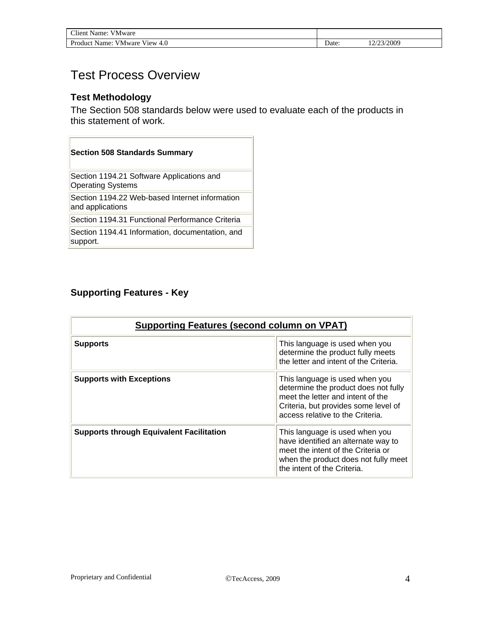<span id="page-3-0"></span>

| <b>Client Name:</b><br><b>VMware</b> |      |           |
|--------------------------------------|------|-----------|
| Product Name: VMware View 4.0        | Date | 2/23/2009 |

## Test Process Overview

### **Test Methodology**

The Section 508 standards below were used to evaluate each of the products in this statement of work.

| <b>Section 508 Standards Summary</b>                                  |
|-----------------------------------------------------------------------|
| Section 1194.21 Software Applications and<br><b>Operating Systems</b> |
| Section 1194.22 Web-based Internet information<br>and applications    |
| Section 1194.31 Functional Performance Criteria                       |
| Section 1194.41 Information, documentation, and<br>support.           |

### **Supporting Features - Key**

| <b>Supporting Features (second column on VPAT)</b> |                                                                                                                                                                                         |  |
|----------------------------------------------------|-----------------------------------------------------------------------------------------------------------------------------------------------------------------------------------------|--|
| <b>Supports</b>                                    | This language is used when you<br>determine the product fully meets<br>the letter and intent of the Criteria.                                                                           |  |
| <b>Supports with Exceptions</b>                    | This language is used when you<br>determine the product does not fully<br>meet the letter and intent of the<br>Criteria, but provides some level of<br>access relative to the Criteria. |  |
| <b>Supports through Equivalent Facilitation</b>    | This language is used when you<br>have identified an alternate way to<br>meet the intent of the Criteria or<br>when the product does not fully meet<br>the intent of the Criteria.      |  |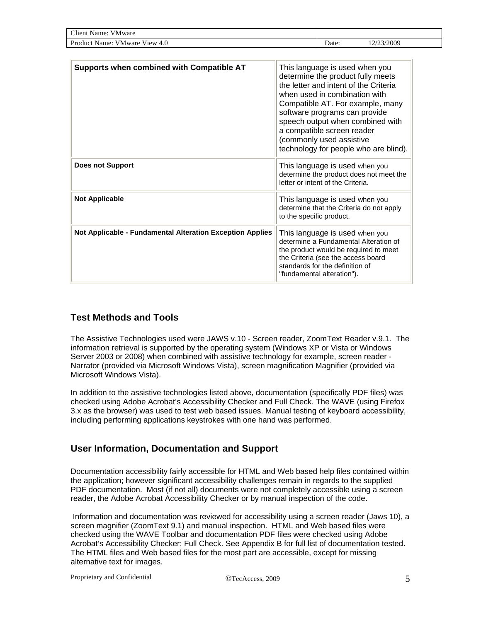<span id="page-4-0"></span>

| Client.<br>Name:<br>V Mware                                |       |          |
|------------------------------------------------------------|-------|----------|
| Product $\perp$<br>4.O<br>View.<br><b>V</b> Mware<br>Name: | Date: | /23/2009 |

| Supports when combined with Compatible AT                        | This language is used when you<br>determine the product fully meets<br>the letter and intent of the Criteria<br>when used in combination with<br>Compatible AT. For example, many<br>software programs can provide<br>speech output when combined with<br>a compatible screen reader<br>(commonly used assistive<br>technology for people who are blind). |
|------------------------------------------------------------------|-----------------------------------------------------------------------------------------------------------------------------------------------------------------------------------------------------------------------------------------------------------------------------------------------------------------------------------------------------------|
| <b>Does not Support</b>                                          | This language is used when you<br>determine the product does not meet the<br>letter or intent of the Criteria.                                                                                                                                                                                                                                            |
| <b>Not Applicable</b>                                            | This language is used when you<br>determine that the Criteria do not apply<br>to the specific product.                                                                                                                                                                                                                                                    |
| <b>Not Applicable - Fundamental Alteration Exception Applies</b> | This language is used when you<br>determine a Fundamental Alteration of<br>the product would be required to meet<br>the Criteria (see the access board<br>standards for the definition of<br>"fundamental alteration").                                                                                                                                   |

### **Test Methods and Tools**

The Assistive Technologies used were JAWS v.10 - Screen reader, ZoomText Reader v.9.1. The information retrieval is supported by the operating system (Windows XP or Vista or Windows Server 2003 or 2008) when combined with assistive technology for example, screen reader - Narrator (provided via Microsoft Windows Vista), screen magnification Magnifier (provided via Microsoft Windows Vista).

In addition to the assistive technologies listed above, documentation (specifically PDF files) was checked using Adobe Acrobat's Accessibility Checker and Full Check. The WAVE (using Firefox 3.x as the browser) was used to test web based issues. Manual testing of keyboard accessibility, including performing applications keystrokes with one hand was performed.

### **User Information, Documentation and Support**

Documentation accessibility fairly accessible for HTML and Web based help files contained within the application; however significant accessibility challenges remain in regards to the supplied PDF documentation. Most (if not all) documents were not completely accessible using a screen reader, the Adobe Acrobat Accessibility Checker or by manual inspection of the code.

 Information and documentation was reviewed for accessibility using a screen reader (Jaws 10), a screen magnifier (ZoomText 9.1) and manual inspection. HTML and Web based files were checked using the WAVE Toolbar and documentation PDF files were checked using Adobe Acrobat's Accessibility Checker; Full Check. See Appendix B for full list of documentation tested. The HTML files and Web based files for the most part are accessible, except for missing alternative text for images.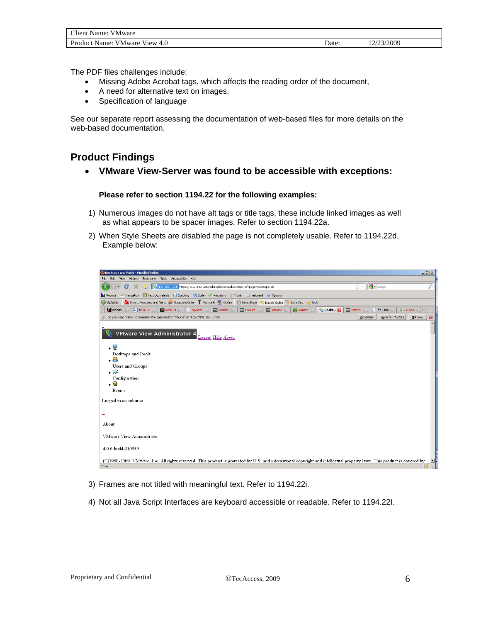<span id="page-5-0"></span>

| Client Name: VMware           |      |            |
|-------------------------------|------|------------|
| Product Name: VMware View 4.0 | Date | 12/23/2009 |

The PDF files challenges include:

- Missing Adobe Acrobat tags, which affects the reading order of the document,
- A need for alternative text on images,
- Specification of language

See our separate report assessing the documentation of web-based files for more details on the web-based documentation.

### **Product Findings**

• **VMware View-Server was found to be accessible with exceptions:** 

#### **Please refer to section 1194.22 for the following examples:**

- 1) Numerous images do not have alt tags or title tags, these include linked images as well as what appears to be spacer images. Refer to section 1194.22a.
- 2) When Style Sheets are disabled the page is not completely usable. Refer to 1194.22d. Example below:



- 3) Frames are not titled with meaningful text. Refer to 1194.22i.
- 4) Not all Java Script Interfaces are keyboard accessible or readable. Refer to 1194.22l.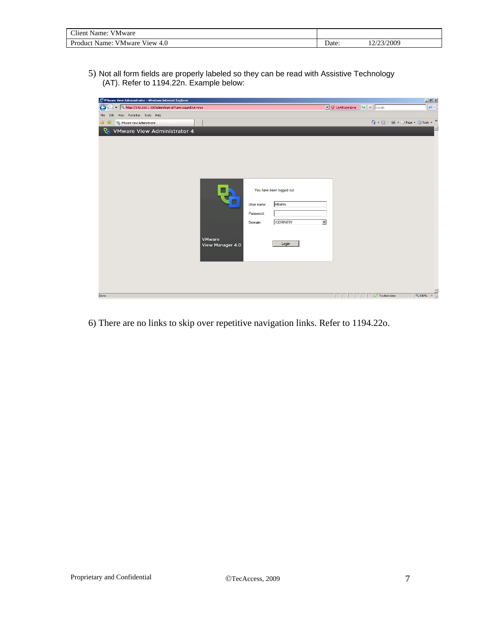| <b>CHI</b><br>---<br>`lient<br>Name<br><b>VMware</b><br>.                                 |       |                      |
|-------------------------------------------------------------------------------------------|-------|----------------------|
| $\mathbf{r}$<br>- - -<br>.<br>4.0<br>Product<br>V <sub>1</sub> ew<br>Name<br>/ Mware<br>ш | Date: | 3/2009<br>$\sim$<br> |

5) Not all form fields are properly labeled so they can be read with Assistive Technology (AT). Refer to 1194.22n. Example below:



6) There are no links to skip over repetitive navigation links. Refer to 1194.22o.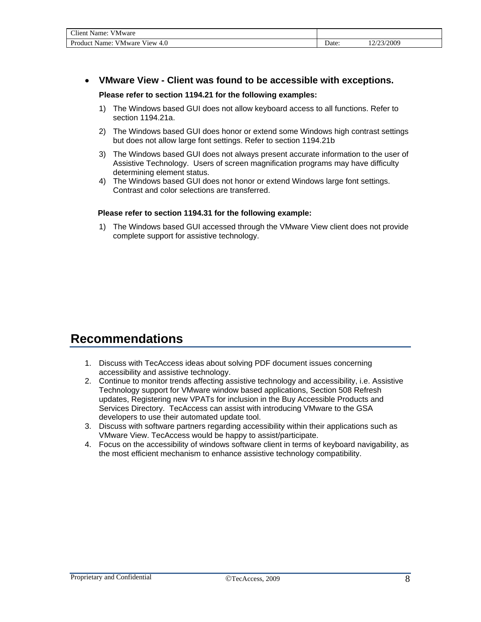<span id="page-7-0"></span>

| Client Name: VMware           |      |          |  |
|-------------------------------|------|----------|--|
| Product Name: VMware View 4.0 | Date | /23/2009 |  |

### • **VMware View - Client was found to be accessible with exceptions.**

#### **Please refer to section 1194.21 for the following examples:**

- 1) The Windows based GUI does not allow keyboard access to all functions. Refer to section 1194.21a.
- 2) The Windows based GUI does honor or extend some Windows high contrast settings but does not allow large font settings. Refer to section 1194.21b
- 3) The Windows based GUI does not always present accurate information to the user of Assistive Technology. Users of screen magnification programs may have difficulty determining element status.
- 4) The Windows based GUI does not honor or extend Windows large font settings. Contrast and color selections are transferred.

#### **Please refer to section 1194.31 for the following example:**

1) The Windows based GUI accessed through the VMware View client does not provide complete support for assistive technology.

## **Recommendations**

- 1. Discuss with TecAccess ideas about solving PDF document issues concerning accessibility and assistive technology.
- 2. Continue to monitor trends affecting assistive technology and accessibility, i.e. Assistive Technology support for VMware window based applications, Section 508 Refresh updates, Registering new VPATs for inclusion in the Buy Accessible Products and Services Directory. TecAccess can assist with introducing VMware to the GSA developers to use their automated update tool.
- 3. Discuss with software partners regarding accessibility within their applications such as VMware View. TecAccess would be happy to assist/participate.
- 4. Focus on the accessibility of windows software client in terms of keyboard navigability, as the most efficient mechanism to enhance assistive technology compatibility.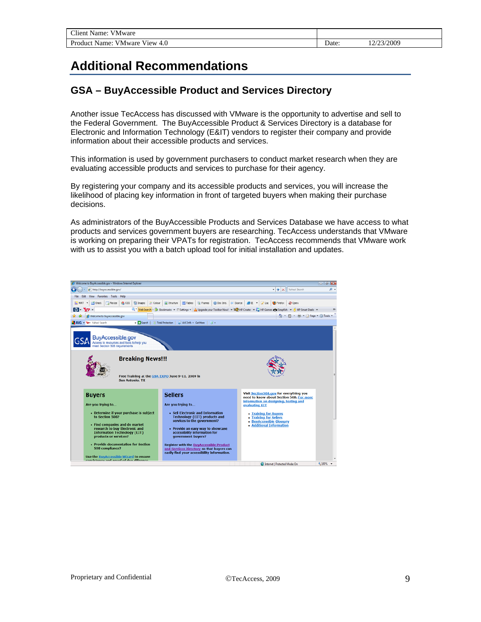# <span id="page-8-0"></span>**Additional Recommendations**

### **GSA – BuyAccessible Product and Services Directory**

Another issue TecAccess has discussed with VMware is the opportunity to advertise and sell to the Federal Government. The BuyAccessible Product & Services Directory is a database for Electronic and Information Technology (E&IT) vendors to register their company and provide information about their accessible products and services.

This information is used by government purchasers to conduct market research when they are evaluating accessible products and services to purchase for their agency.

By registering your company and its accessible products and services, you will increase the likelihood of placing key information in front of targeted buyers when making their purchase decisions.

As administrators of the BuyAccessible Products and Services Database we have access to what products and services government buyers are researching. TecAccess understands that VMware is working on preparing their VPATs for registration. TecAccess recommends that VMware work with us to assist you with a batch upload tool for initial installation and updates.

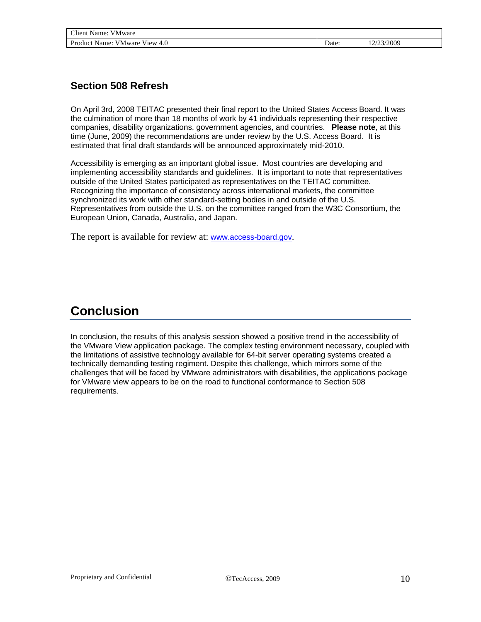### <span id="page-9-0"></span>**Section 508 Refresh**

On April 3rd, 2008 TEITAC [presented](http://www.access-board.gov/news/teitac-report.htm) their [final report](http://www.access-board.gov/sec508/refresh/report/) to the [United States Access Board](http://www.access-board.gov/). It was the culmination of more than 18 months of work by 41 individuals representing their respective companies, disability organizations, government agencies, and countries. **Please note**, at this time (June, 2009) the recommendations are under review by the U.S. Access Board. It is estimated that final draft standards will be announced approximately mid-2010.

Accessibility is emerging as an important global issue. Most countries are developing and implementing accessibility standards and guidelines. It is important to note that representatives outside of the United States participated as representatives on the TEITAC committee. Recognizing the importance of consistency across international markets, the committee synchronized its work with other standard-setting bodies in and outside of the U.S. Representatives from outside the U.S. on the committee ranged from the W3C Consortium, the European Union, Canada, Australia, and Japan.

The report is available for review at: [www.access-board.gov](http://www.access-board.gov/).

## **Conclusion**

In conclusion, the results of this analysis session showed a positive trend in the accessibility of the VMware View application package. The complex testing environment necessary, coupled with the limitations of assistive technology available for 64-bit server operating systems created a technically demanding testing regiment. Despite this challenge, which mirrors some of the challenges that will be faced by VMware administrators with disabilities, the applications package for VMware view appears to be on the road to functional conformance to Section 508 requirements.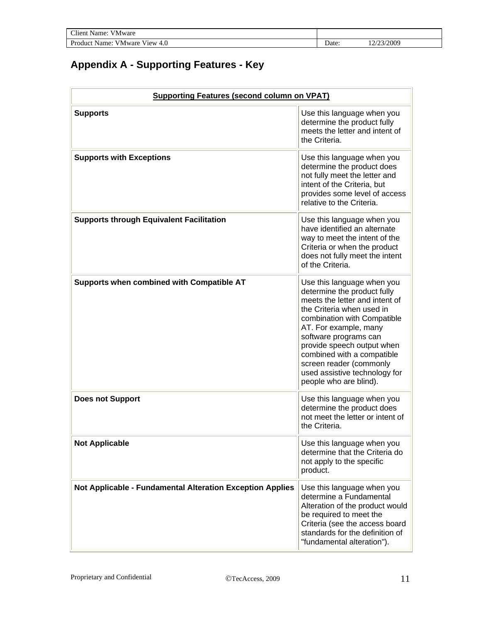<span id="page-10-0"></span>

| $C$ lient<br>- -<br>Aame.<br>V Mware<br>.     |       |              |
|-----------------------------------------------|-------|--------------|
| Product<br>4.0<br>$V1$ ew<br>V Mware<br>Name: | Date: | /2009<br>. . |

# **Appendix A - Supporting Features - Key**

| <b>Supporting Features (second column on VPAT)</b>        |                                                                                                                                                                                                                                                                                                                                                             |  |  |
|-----------------------------------------------------------|-------------------------------------------------------------------------------------------------------------------------------------------------------------------------------------------------------------------------------------------------------------------------------------------------------------------------------------------------------------|--|--|
| <b>Supports</b>                                           | Use this language when you<br>determine the product fully<br>meets the letter and intent of<br>the Criteria.                                                                                                                                                                                                                                                |  |  |
| <b>Supports with Exceptions</b>                           | Use this language when you<br>determine the product does<br>not fully meet the letter and<br>intent of the Criteria, but<br>provides some level of access<br>relative to the Criteria.                                                                                                                                                                      |  |  |
| <b>Supports through Equivalent Facilitation</b>           | Use this language when you<br>have identified an alternate<br>way to meet the intent of the<br>Criteria or when the product<br>does not fully meet the intent<br>of the Criteria.                                                                                                                                                                           |  |  |
| Supports when combined with Compatible AT                 | Use this language when you<br>determine the product fully<br>meets the letter and intent of<br>the Criteria when used in<br>combination with Compatible<br>AT. For example, many<br>software programs can<br>provide speech output when<br>combined with a compatible<br>screen reader (commonly<br>used assistive technology for<br>people who are blind). |  |  |
| <b>Does not Support</b>                                   | Use this language when you<br>determine the product does<br>not meet the letter or intent of<br>the Criteria.                                                                                                                                                                                                                                               |  |  |
| <b>Not Applicable</b>                                     | Use this language when you<br>determine that the Criteria do<br>not apply to the specific<br>product.                                                                                                                                                                                                                                                       |  |  |
| Not Applicable - Fundamental Alteration Exception Applies | Use this language when you<br>determine a Fundamental<br>Alteration of the product would<br>be required to meet the<br>Criteria (see the access board<br>standards for the definition of<br>"fundamental alteration").                                                                                                                                      |  |  |